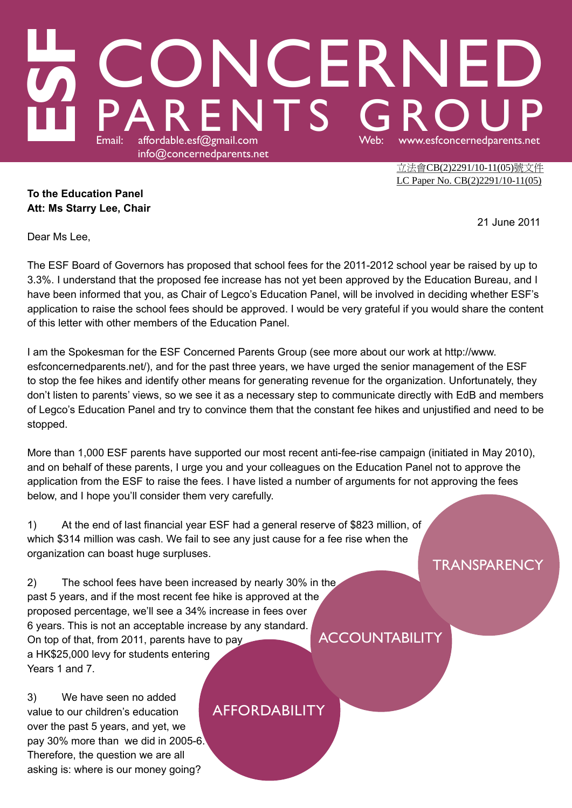## LA CONCERNED<br>LA PARENTS GROUP info@concernedparents.net

立法會CB(2)2291/10-11(05)號文件 LC Paper No. CB(2)2291/10-11(05)

**To the Education Panel Att: Ms Starry Lee, Chair**

21 June 2011

Dear Ms Lee,

The ESF Board of Governors has proposed that school fees for the 2011-2012 school year be raised by up to 3.3%. I understand that the proposed fee increase has not yet been approved by the Education Bureau, and I have been informed that you, as Chair of Legco's Education Panel, will be involved in deciding whether ESF's application to raise the school fees should be approved. I would be very grateful if you would share the content of this letter with other members of the Education Panel.

I am the Spokesman for the ESF Concerned Parents Group (see more about our work at http://www. esfconcernedparents.net/), and for the past three years, we have urged the senior management of the ESF to stop the fee hikes and identify other means for generating revenue for the organization. Unfortunately, they don't listen to parents' views, so we see it as a necessary step to communicate directly with EdB and members of Legco's Education Panel and try to convince them that the constant fee hikes and unjustified and need to be stopped.

More than 1,000 ESF parents have supported our most recent anti-fee-rise campaign (initiated in May 2010), and on behalf of these parents, I urge you and your colleagues on the Education Panel not to approve the application from the ESF to raise the fees. I have listed a number of arguments for not approving the fees below, and I hope you'll consider them very carefully.

1) At the end of last financial year ESF had a general reserve of \$823 million, of which \$314 million was cash. We fail to see any just cause for a fee rise when the organization can boast huge surpluses.

2) The school fees have been increased by nearly 30% in the past 5 years, and if the most recent fee hike is approved at the proposed percentage, we'll see a 34% increase in fees over 6 years. This is not an acceptable increase by any standard. On top of that, from 2011, parents have to pay a HK\$25,000 levy for students entering Years 1 and 7.

3) We have seen no added value to our children's education over the past 5 years, and yet, we pay 30% more than we did in 2005-6. Therefore, the question we are all asking is: where is our money going?

## AFFORDABILITY

**ACCOUNTABILITY** 

**TRANSPARENCY**